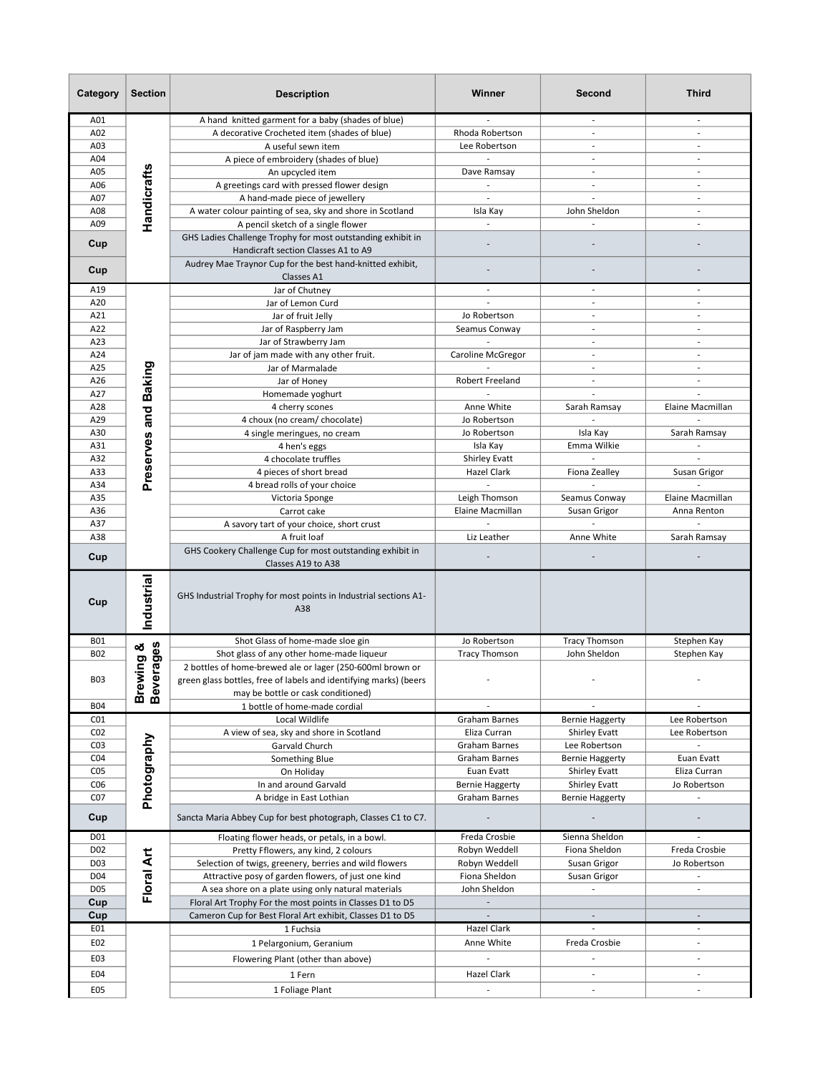| Category                           | <b>Section</b>       | <b>Description</b>                                                                                 | Winner                       | Second                                         | <b>Third</b>               |
|------------------------------------|----------------------|----------------------------------------------------------------------------------------------------|------------------------------|------------------------------------------------|----------------------------|
| A01                                |                      | A hand knitted garment for a baby (shades of blue)                                                 |                              |                                                |                            |
| A02                                |                      | A decorative Crocheted item (shades of blue)                                                       | Rhoda Robertson              | ÷,                                             | $\overline{a}$             |
| A03                                |                      | A useful sewn item                                                                                 | Lee Robertson                | $\overline{a}$                                 | $\overline{\phantom{a}}$   |
| A04                                |                      | A piece of embroidery (shades of blue)                                                             |                              | $\overline{a}$                                 | $\overline{\phantom{a}}$   |
| A05                                |                      | An upcycled item                                                                                   | Dave Ramsay                  | $\overline{a}$                                 | $\overline{\phantom{a}}$   |
| A06                                | <b>Handicrafts</b>   | A greetings card with pressed flower design                                                        | $\mathcal{L}_{\mathcal{A}}$  | $\overline{\phantom{a}}$                       | $\overline{\phantom{a}}$   |
| A07                                |                      | A hand-made piece of jewellery                                                                     | $\overline{\phantom{a}}$     |                                                | $\overline{\phantom{a}}$   |
| A08                                |                      | A water colour painting of sea, sky and shore in Scotland                                          | Isla Kay                     | John Sheldon                                   | $\overline{\phantom{a}}$   |
| A09                                |                      | A pencil sketch of a single flower                                                                 |                              |                                                | $\overline{a}$             |
| Cup                                |                      | GHS Ladies Challenge Trophy for most outstanding exhibit in<br>Handicraft section Classes A1 to A9 |                              |                                                |                            |
| Cup                                |                      | Audrey Mae Traynor Cup for the best hand-knitted exhibit,<br>Classes A1                            |                              |                                                |                            |
| A19                                |                      | Jar of Chutney                                                                                     | $\overline{\phantom{a}}$     | $\sim$                                         | $\overline{\phantom{a}}$   |
| A20                                |                      | Jar of Lemon Curd                                                                                  |                              | $\overline{\phantom{a}}$                       | $\overline{\phantom{a}}$   |
| A21                                |                      | Jar of fruit Jelly                                                                                 | Jo Robertson                 |                                                | $\overline{a}$             |
| A22                                |                      | Jar of Raspberry Jam                                                                               | Seamus Conway                | $\mathbf{r}$                                   | $\overline{\phantom{a}}$   |
| A23                                |                      | Jar of Strawberry Jam                                                                              |                              |                                                | $\overline{a}$             |
| A24                                |                      | Jar of jam made with any other fruit.                                                              | Caroline McGregor            | $\mathbf{r}$                                   | $\sim$                     |
| A25                                |                      | Jar of Marmalade                                                                                   |                              | $\overline{\phantom{a}}$                       | $\overline{\phantom{a}}$   |
| A26                                |                      | Jar of Honey                                                                                       | <b>Robert Freeland</b>       | $\sim$                                         | $\overline{\phantom{a}}$   |
| A27                                |                      | Homemade yoghurt                                                                                   |                              |                                                |                            |
| A28                                |                      | 4 cherry scones                                                                                    | Anne White                   | Sarah Ramsay                                   | Elaine Macmillan           |
| A29<br>A30                         |                      | 4 choux (no cream/ chocolate)                                                                      | Jo Robertson<br>Jo Robertson | Isla Kay                                       | Sarah Ramsay               |
| A31                                |                      | 4 single meringues, no cream<br>4 hen's eggs                                                       | Isla Kay                     | Emma Wilkie                                    |                            |
| A32                                |                      | 4 chocolate truffles                                                                               | <b>Shirley Evatt</b>         |                                                |                            |
| A33                                | Preserves and Baking | 4 pieces of short bread                                                                            | Hazel Clark                  | Fiona Zealley                                  | Susan Grigor               |
| A34                                |                      | 4 bread rolls of your choice                                                                       |                              |                                                |                            |
| A35                                |                      | Victoria Sponge                                                                                    | Leigh Thomson                | Seamus Conway                                  | Elaine Macmillan           |
| A36                                |                      | Carrot cake                                                                                        | Elaine Macmillan             | Susan Grigor                                   | Anna Renton                |
| A37                                |                      | A savory tart of your choice, short crust                                                          |                              |                                                |                            |
| A38                                |                      | A fruit loaf                                                                                       | Liz Leather                  | Anne White                                     | Sarah Ramsay               |
| Cup                                |                      | GHS Cookery Challenge Cup for most outstanding exhibit in                                          |                              |                                                |                            |
|                                    |                      | Classes A19 to A38                                                                                 |                              |                                                |                            |
| Cup                                | Industrial           | GHS Industrial Trophy for most points in Industrial sections A1-<br>A38                            |                              |                                                |                            |
| <b>B01</b>                         | ఱ                    | Shot Glass of home-made sloe gin                                                                   | Jo Robertson                 | <b>Tracy Thomson</b>                           | Stephen Kay                |
| <b>B02</b>                         | erages               | Shot glass of any other home-made liqueur                                                          | <b>Tracy Thomson</b>         | John Sheldon                                   | Stephen Kay                |
|                                    | Brewing<br>Beverage  | 2 bottles of home-brewed ale or lager (250-600ml brown or                                          |                              |                                                |                            |
| <b>B03</b>                         |                      | green glass bottles, free of labels and identifying marks) (beers                                  |                              |                                                |                            |
|                                    |                      | may be bottle or cask conditioned)                                                                 |                              |                                                |                            |
| <b>B04</b>                         |                      | 1 bottle of home-made cordial                                                                      |                              |                                                |                            |
| CO <sub>1</sub>                    |                      | Local Wildlife                                                                                     | Graham Barnes                | <b>Bernie Haggerty</b>                         | Lee Robertson              |
| CO <sub>2</sub>                    |                      | A view of sea, sky and shore in Scotland                                                           | Eliza Curran                 | <b>Shirley Evatt</b>                           | Lee Robertson              |
| CO <sub>3</sub>                    |                      | Garvald Church                                                                                     | Graham Barnes                | Lee Robertson                                  |                            |
| CO <sub>4</sub><br>CO <sub>5</sub> |                      | Something Blue<br>On Holiday                                                                       | Graham Barnes<br>Euan Evatt  | <b>Bernie Haggerty</b><br><b>Shirley Evatt</b> | Euan Evatt<br>Eliza Curran |
| CO6                                | Photography          | In and around Garvald                                                                              | <b>Bernie Haggerty</b>       | Shirley Evatt                                  | Jo Robertson               |
| CO <sub>7</sub>                    |                      | A bridge in East Lothian                                                                           | Graham Barnes                | <b>Bernie Haggerty</b>                         |                            |
| Cup                                |                      | Sancta Maria Abbey Cup for best photograph, Classes C1 to C7.                                      |                              |                                                |                            |
| D01                                |                      | Floating flower heads, or petals, in a bowl.                                                       | Freda Crosbie                | Sienna Sheldon                                 |                            |
| D <sub>0</sub> 2                   |                      | Pretty Fflowers, any kind, 2 colours                                                               | Robyn Weddell                | Fiona Sheldon                                  | Freda Crosbie              |
| D03                                |                      | Selection of twigs, greenery, berries and wild flowers                                             | Robyn Weddell                | Susan Grigor                                   | Jo Robertson               |
| D04                                |                      | Attractive posy of garden flowers, of just one kind                                                | Fiona Sheldon                | Susan Grigor                                   | $\overline{\phantom{a}}$   |
| D05                                | Floral Art           | A sea shore on a plate using only natural materials                                                | John Sheldon                 |                                                |                            |
| Cup                                |                      | Floral Art Trophy For the most points in Classes D1 to D5                                          |                              |                                                |                            |
| Cup                                |                      | Cameron Cup for Best Floral Art exhibit, Classes D1 to D5                                          |                              | $\overline{\phantom{a}}$                       | $\overline{\phantom{a}}$   |
| E01                                |                      | 1 Fuchsia                                                                                          | Hazel Clark                  |                                                | $\overline{\phantom{m}}$   |
| E02                                |                      | 1 Pelargonium, Geranium                                                                            | Anne White                   | Freda Crosbie                                  |                            |
| E03                                |                      | Flowering Plant (other than above)                                                                 |                              |                                                | $\overline{\phantom{m}}$   |
| E04                                |                      | 1 Fern                                                                                             | Hazel Clark                  | ÷,                                             | $\overline{\phantom{a}}$   |
| E05                                |                      |                                                                                                    |                              | ä,                                             | ٠                          |
|                                    |                      | 1 Foliage Plant                                                                                    |                              |                                                |                            |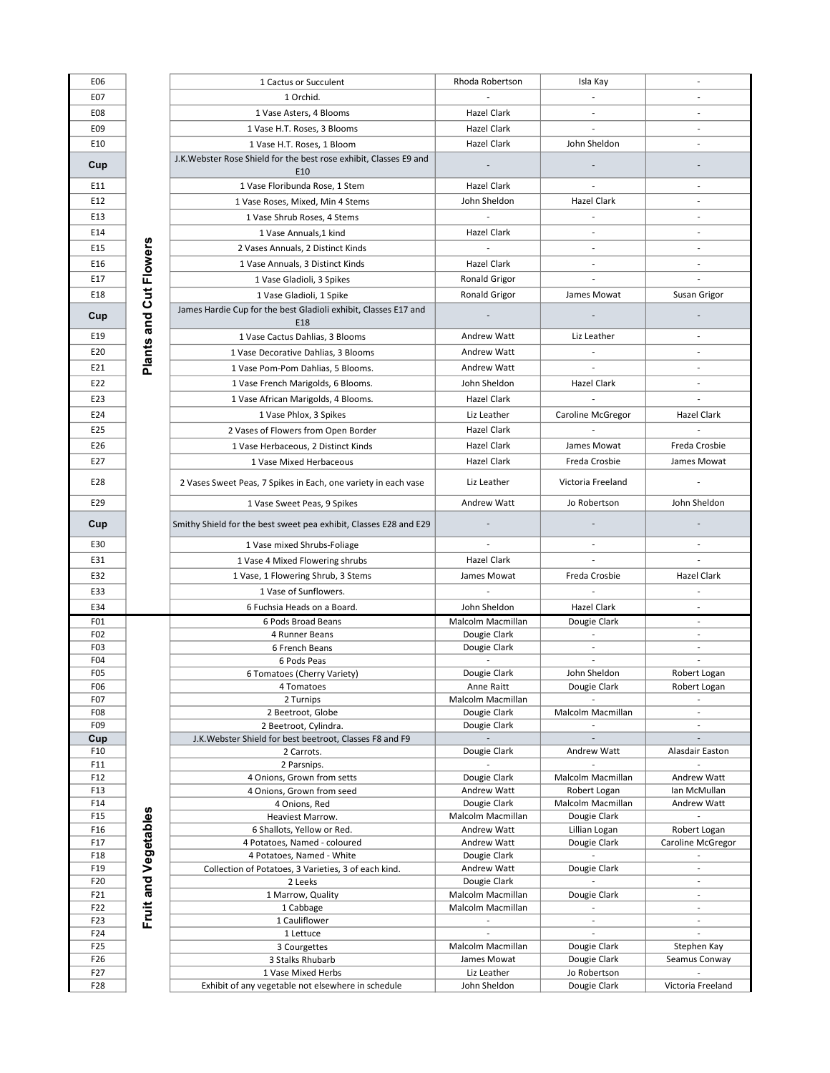| E06                                 |                        | 1 Cactus or Succulent                                                                            | Rhoda Robertson                   | Isla Kay<br>$\overline{\phantom{a}}$                 |                                                      |
|-------------------------------------|------------------------|--------------------------------------------------------------------------------------------------|-----------------------------------|------------------------------------------------------|------------------------------------------------------|
| E07<br>E08                          |                        | 1 Orchid.                                                                                        | <b>Hazel Clark</b>                | $\overline{\phantom{a}}$                             |                                                      |
|                                     |                        | 1 Vase Asters, 4 Blooms                                                                          | Hazel Clark                       |                                                      |                                                      |
| E09                                 |                        | 1 Vase H.T. Roses, 3 Blooms                                                                      |                                   |                                                      |                                                      |
| E10                                 |                        | 1 Vase H.T. Roses, 1 Bloom<br>J.K. Webster Rose Shield for the best rose exhibit, Classes E9 and | Hazel Clark                       | John Sheldon                                         |                                                      |
| Cup                                 |                        | E10                                                                                              |                                   |                                                      |                                                      |
| E11                                 |                        | 1 Vase Floribunda Rose, 1 Stem                                                                   | Hazel Clark                       |                                                      |                                                      |
| E12                                 |                        | 1 Vase Roses, Mixed, Min 4 Stems                                                                 | John Sheldon                      | <b>Hazel Clark</b>                                   |                                                      |
| E13                                 |                        | 1 Vase Shrub Roses, 4 Stems                                                                      | $\overline{\phantom{a}}$          |                                                      | $\overline{\phantom{a}}$                             |
| E14                                 |                        | 1 Vase Annuals, 1 kind                                                                           | Hazel Clark                       | $\overline{\phantom{a}}$                             | $\overline{\phantom{a}}$                             |
| E15                                 |                        | 2 Vases Annuals, 2 Distinct Kinds                                                                |                                   | $\overline{\phantom{a}}$                             | $\overline{\phantom{a}}$                             |
| E16                                 |                        | 1 Vase Annuals, 3 Distinct Kinds                                                                 | Hazel Clark                       | $\overline{\phantom{a}}$                             | $\overline{\phantom{a}}$                             |
| E17                                 |                        | 1 Vase Gladioli, 3 Spikes                                                                        | <b>Ronald Grigor</b>              | $\frac{1}{2}$                                        |                                                      |
| E18                                 |                        | 1 Vase Gladioli, 1 Spike                                                                         | <b>Ronald Grigor</b>              | James Mowat                                          | Susan Grigor                                         |
| Cup                                 | Plants and Cut Flowers | James Hardie Cup for the best Gladioli exhibit, Classes E17 and                                  |                                   |                                                      |                                                      |
|                                     |                        | E18                                                                                              |                                   |                                                      |                                                      |
| E19                                 |                        | 1 Vase Cactus Dahlias, 3 Blooms                                                                  | <b>Andrew Watt</b>                | Liz Leather                                          |                                                      |
| E20                                 |                        | 1 Vase Decorative Dahlias, 3 Blooms                                                              | <b>Andrew Watt</b>                |                                                      |                                                      |
| E21                                 |                        | 1 Vase Pom-Pom Dahlias, 5 Blooms.                                                                | Andrew Watt                       |                                                      |                                                      |
| E22                                 |                        | 1 Vase French Marigolds, 6 Blooms.                                                               | John Sheldon                      | Hazel Clark                                          |                                                      |
| E23                                 |                        | 1 Vase African Marigolds, 4 Blooms.                                                              | Hazel Clark                       |                                                      |                                                      |
| E24                                 |                        | 1 Vase Phlox, 3 Spikes                                                                           | Liz Leather                       | Caroline McGregor                                    | Hazel Clark                                          |
| E25                                 |                        | 2 Vases of Flowers from Open Border                                                              | Hazel Clark                       |                                                      |                                                      |
| E26                                 |                        | 1 Vase Herbaceous, 2 Distinct Kinds                                                              | <b>Hazel Clark</b>                | James Mowat                                          | Freda Crosbie                                        |
| E27                                 |                        | 1 Vase Mixed Herbaceous                                                                          | Hazel Clark                       | Freda Crosbie                                        | James Mowat                                          |
| E28                                 |                        | 2 Vases Sweet Peas, 7 Spikes in Each, one variety in each vase                                   | Liz Leather                       | Victoria Freeland                                    | $\overline{\phantom{a}}$                             |
| E29                                 |                        | 1 Vase Sweet Peas, 9 Spikes                                                                      | <b>Andrew Watt</b>                | Jo Robertson                                         | John Sheldon                                         |
|                                     |                        |                                                                                                  |                                   |                                                      |                                                      |
| Cup                                 |                        | Smithy Shield for the best sweet pea exhibit, Classes E28 and E29                                |                                   |                                                      |                                                      |
| E30                                 |                        | 1 Vase mixed Shrubs-Foliage                                                                      |                                   |                                                      |                                                      |
| E31                                 |                        | 1 Vase 4 Mixed Flowering shrubs                                                                  | Hazel Clark                       |                                                      |                                                      |
| E32                                 |                        | 1 Vase, 1 Flowering Shrub, 3 Stems                                                               | James Mowat                       | Freda Crosbie                                        | <b>Hazel Clark</b>                                   |
| E33                                 |                        | 1 Vase of Sunflowers.                                                                            |                                   |                                                      |                                                      |
| E34                                 |                        | 6 Fuchsia Heads on a Board.                                                                      | John Sheldon                      | Hazel Clark                                          | $\overline{\phantom{a}}$                             |
| F <sub>01</sub><br>F <sub>0</sub> 2 |                        | 6 Pods Broad Beans<br>4 Runner Beans                                                             | Malcolm Macmillan<br>Dougie Clark | Dougie Clark<br>$\overline{\phantom{a}}$             | $\overline{\phantom{a}}$                             |
| F <sub>0</sub> 3                    |                        | 6 French Beans                                                                                   | Dougie Clark                      | L.                                                   |                                                      |
| F04                                 |                        | 6 Pods Peas                                                                                      |                                   |                                                      |                                                      |
| F <sub>0</sub> 5                    |                        | 6 Tomatoes (Cherry Variety)                                                                      | Dougie Clark                      | John Sheldon                                         | Robert Logan                                         |
| F <sub>06</sub><br>F <sub>0</sub> 7 |                        | 4 Tomatoes<br>2 Turnips                                                                          | Anne Raitt<br>Malcolm Macmillan   | Dougie Clark                                         | Robert Logan                                         |
| F <sub>0</sub> 8                    |                        | 2 Beetroot, Globe                                                                                | Dougie Clark                      | Malcolm Macmillan                                    | $\overline{\phantom{a}}$                             |
| F09                                 |                        | 2 Beetroot, Cylindra.                                                                            | Dougie Clark                      |                                                      | $\overline{\phantom{a}}$                             |
| Cup                                 |                        | J.K. Webster Shield for best beetroot, Classes F8 and F9                                         |                                   |                                                      |                                                      |
| F10                                 |                        | 2 Carrots.                                                                                       | Dougie Clark                      | Andrew Watt                                          | Alasdair Easton                                      |
| F11<br>F12                          |                        | 2 Parsnips.<br>4 Onions, Grown from setts                                                        | Dougie Clark                      | Malcolm Macmillan                                    | $\overline{\phantom{a}}$<br>Andrew Watt              |
| F13                                 |                        | 4 Onions, Grown from seed                                                                        | Andrew Watt                       | Robert Logan                                         | Ian McMullan                                         |
| F14                                 |                        | 4 Onions, Red                                                                                    | Dougie Clark                      | Malcolm Macmillan                                    | Andrew Watt                                          |
| F15                                 | Fruit and Vegetables   | Heaviest Marrow.                                                                                 | Malcolm Macmillan                 | Dougie Clark                                         |                                                      |
| F16                                 |                        | 6 Shallots, Yellow or Red.                                                                       | Andrew Watt                       | Lillian Logan                                        | Robert Logan                                         |
| F17<br>F18                          |                        | 4 Potatoes, Named - coloured<br>4 Potatoes, Named - White                                        | Andrew Watt<br>Dougie Clark       | Dougie Clark                                         | Caroline McGregor                                    |
| F19                                 |                        | Collection of Potatoes, 3 Varieties, 3 of each kind.                                             | Andrew Watt                       | Dougie Clark                                         | $\overline{\phantom{a}}$                             |
| F20                                 |                        | 2 Leeks                                                                                          | Dougie Clark                      |                                                      | $\overline{\phantom{a}}$                             |
| F21                                 |                        | 1 Marrow, Quality                                                                                | Malcolm Macmillan                 | Dougie Clark                                         | $\overline{\phantom{a}}$                             |
| F22<br>F23                          |                        | 1 Cabbage<br>1 Cauliflower                                                                       | Malcolm Macmillan                 | $\overline{\phantom{a}}$<br>$\overline{\phantom{a}}$ | $\overline{\phantom{a}}$<br>$\overline{\phantom{a}}$ |
| F24                                 |                        | 1 Lettuce                                                                                        |                                   |                                                      |                                                      |
| F25                                 |                        | 3 Courgettes                                                                                     | Malcolm Macmillan                 | Dougie Clark                                         | Stephen Kay                                          |
| F26                                 |                        | 3 Stalks Rhubarb                                                                                 | James Mowat                       | Dougie Clark                                         | Seamus Conway                                        |
| F27                                 |                        | 1 Vase Mixed Herbs                                                                               | Liz Leather                       | Jo Robertson                                         |                                                      |
| F28                                 |                        | Exhibit of any vegetable not elsewhere in schedule                                               | John Sheldon                      | Dougie Clark                                         | Victoria Freeland                                    |